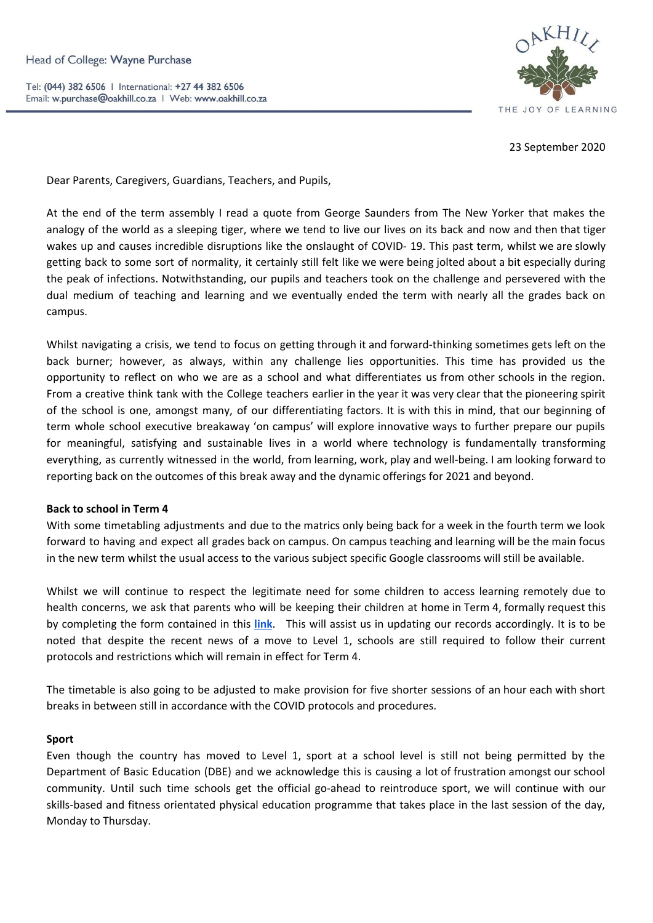Tel: (044) 382 6506 | International: +27 44 382 6506 Email: w.purchase@oakhill.co.za | Web: www.oakhill.co.za



23 September 2020

Dear Parents, Caregivers, Guardians, Teachers, and Pupils,

At the end of the term assembly I read a quote from George Saunders from The New Yorker that makes the analogy of the world as a sleeping tiger, where we tend to live our lives on its back and now and then that tiger wakes up and causes incredible disruptions like the onslaught of COVID- 19. This past term, whilst we are slowly getting back to some sort of normality, it certainly still felt like we were being jolted about a bit especially during the peak of infections. Notwithstanding, our pupils and teachers took on the challenge and persevered with the dual medium of teaching and learning and we eventually ended the term with nearly all the grades back on campus.

Whilst navigating a crisis, we tend to focus on getting through it and forward-thinking sometimes gets left on the back burner; however, as always, within any challenge lies opportunities. This time has provided us the opportunity to reflect on who we are as a school and what differentiates us from other schools in the region. From a creative think tank with the College teachers earlier in the year it was very clear that the pioneering spirit of the school is one, amongst many, of our differentiating factors. It is with this in mind, that our beginning of term whole school executive breakaway 'on campus' will explore innovative ways to further prepare our pupils for meaningful, satisfying and sustainable lives in a world where technology is fundamentally transforming everything, as currently witnessed in the world, from learning, work, play and well-being. I am looking forward to reporting back on the outcomes of this break away and the dynamic offerings for 2021 and beyond.

## **Back to school in Term 4**

With some timetabling adjustments and due to the matrics only being back for a week in the fourth term we look forward to having and expect all grades back on campus. On campus teaching and learning will be the main focus in the new term whilst the usual access to the various subject specific Google classrooms will still be available.

Whilst we will continue to respect the legitimate need for some children to access learning remotely due to health concerns, we ask that parents who will be keeping their children at home in Term 4, formally request this by completing the form contained in this **[link](https://docs.google.com/forms/d/1N2x2OyGesWRHaXjFm-iSdAXatX0YCDyustOy_R6iRzA/prefill)**. This will assist us in updating our records accordingly. It is to be noted that despite the recent news of a move to Level 1, schools are still required to follow their current protocols and restrictions which will remain in effect for Term 4.

The timetable is also going to be adjusted to make provision for five shorter sessions of an hour each with short breaks in between still in accordance with the COVID protocols and procedures.

#### **Sport**

Even though the country has moved to Level 1, sport at a school level is still not being permitted by the Department of Basic Education (DBE) and we acknowledge this is causing a lot of frustration amongst our school community. Until such time schools get the official go-ahead to reintroduce sport, we will continue with our skills-based and fitness orientated physical education programme that takes place in the last session of the day, Monday to Thursday.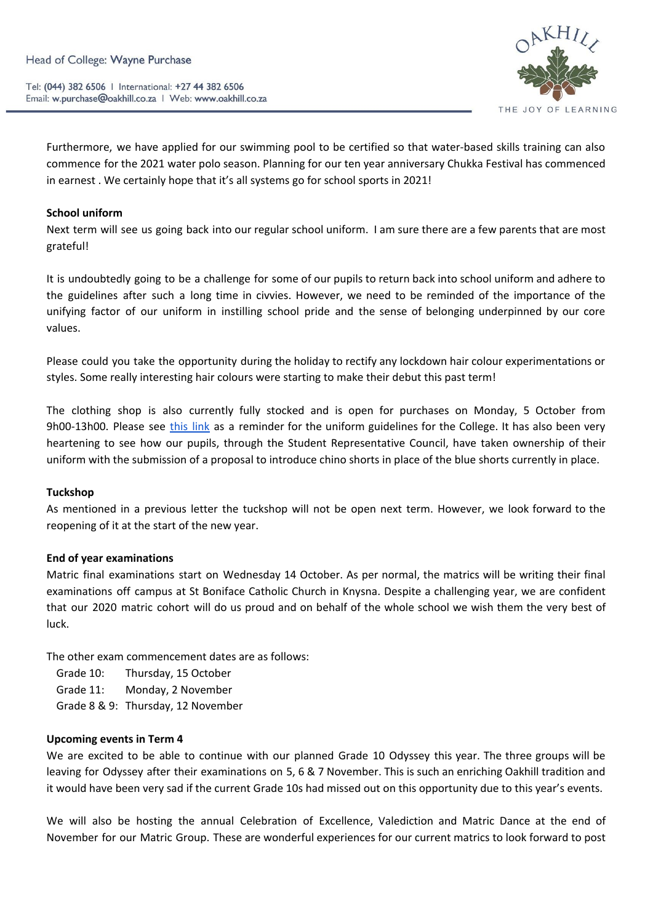Tel: (044) 382 6506 | International: +27 44 382 6506 Email: w.purchase@oakhill.co.za | Web: www.oakhill.co.za



Furthermore, we have applied for our swimming pool to be certified so that water-based skills training can also commence for the 2021 water polo season. Planning for our ten year anniversary Chukka Festival has commenced in earnest . We certainly hope that it's all systems go for school sports in 2021!

### **School uniform**

Next term will see us going back into our regular school uniform. I am sure there are a few parents that are most grateful!

It is undoubtedly going to be a challenge for some of our pupils to return back into school uniform and adhere to the guidelines after such a long time in civvies. However, we need to be reminded of the importance of the unifying factor of our uniform in instilling school pride and the sense of belonging underpinned by our core values.

Please could you take the opportunity during the holiday to rectify any lockdown hair colour experimentations or styles. Some really interesting hair colours were starting to make their debut this past term!

The clothing shop is also currently fully stocked and is open for purchases on Monday, 5 October from 9h00-13h00. Please see [this](https://www.oakhill.co.za/wp-content/uploads/2018/06/College-uniform-Policy.pdf) link as a reminder for the uniform guidelines for the College. It has also been very heartening to see how our pupils, through the Student Representative Council, have taken ownership of their uniform with the submission of a proposal to introduce chino shorts in place of the blue shorts currently in place.

#### **Tuckshop**

As mentioned in a previous letter the tuckshop will not be open next term. However, we look forward to the reopening of it at the start of the new year.

#### **End of year examinations**

Matric final examinations start on Wednesday 14 October. As per normal, the matrics will be writing their final examinations off campus at St Boniface Catholic Church in Knysna. Despite a challenging year, we are confident that our 2020 matric cohort will do us proud and on behalf of the whole school we wish them the very best of luck.

The other exam commencement dates are as follows:

- Grade 10: Thursday, 15 October
- Grade 11: Monday, 2 November
- Grade 8 & 9: Thursday, 12 November

#### **Upcoming events in Term 4**

We are excited to be able to continue with our planned Grade 10 Odyssey this year. The three groups will be leaving for Odyssey after their examinations on 5, 6 & 7 November. This is such an enriching Oakhill tradition and it would have been very sad if the current Grade 10s had missed out on this opportunity due to this year's events.

We will also be hosting the annual Celebration of Excellence, Valediction and Matric Dance at the end of November for our Matric Group. These are wonderful experiences for our current matrics to look forward to post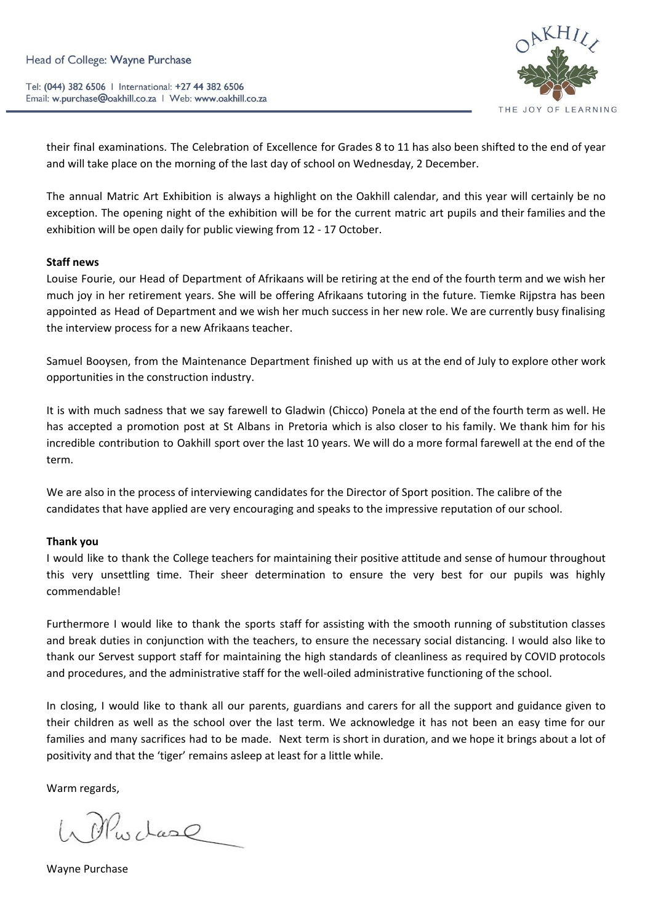Tel: (044) 382 6506 | International: +27 44 382 6506 Email: w.purchase@oakhill.co.za | Web: www.oakhill.co.za



their final examinations. The Celebration of Excellence for Grades 8 to 11 has also been shifted to the end of year and will take place on the morning of the last day of school on Wednesday, 2 December.

The annual Matric Art Exhibition is always a highlight on the Oakhill calendar, and this year will certainly be no exception. The opening night of the exhibition will be for the current matric art pupils and their families and the exhibition will be open daily for public viewing from 12 - 17 October.

#### **Staff news**

Louise Fourie, our Head of Department of Afrikaans will be retiring at the end of the fourth term and we wish her much joy in her retirement years. She will be offering Afrikaans tutoring in the future. Tiemke Rijpstra has been appointed as Head of Department and we wish her much success in her new role. We are currently busy finalising the interview process for a new Afrikaans teacher.

Samuel Booysen, from the Maintenance Department finished up with us at the end of July to explore other work opportunities in the construction industry.

It is with much sadness that we say farewell to Gladwin (Chicco) Ponela at the end of the fourth term as well. He has accepted a promotion post at St Albans in Pretoria which is also closer to his family. We thank him for his incredible contribution to Oakhill sport over the last 10 years. We will do a more formal farewell at the end of the term.

We are also in the process of interviewing candidates for the Director of Sport position. The calibre of the candidates that have applied are very encouraging and speaks to the impressive reputation of our school.

## **Thank you**

I would like to thank the College teachers for maintaining their positive attitude and sense of humour throughout this very unsettling time. Their sheer determination to ensure the very best for our pupils was highly commendable!

Furthermore I would like to thank the sports staff for assisting with the smooth running of substitution classes and break duties in conjunction with the teachers, to ensure the necessary social distancing. I would also like to thank our Servest support staff for maintaining the high standards of cleanliness as required by COVID protocols and procedures, and the administrative staff for the well-oiled administrative functioning of the school.

In closing, I would like to thank all our parents, guardians and carers for all the support and guidance given to their children as well as the school over the last term. We acknowledge it has not been an easy time for our families and many sacrifices had to be made. Next term is short in duration, and we hope it brings about a lot of positivity and that the 'tiger' remains asleep at least for a little while.

Warm regards,

Wohnschare

Wayne Purchase